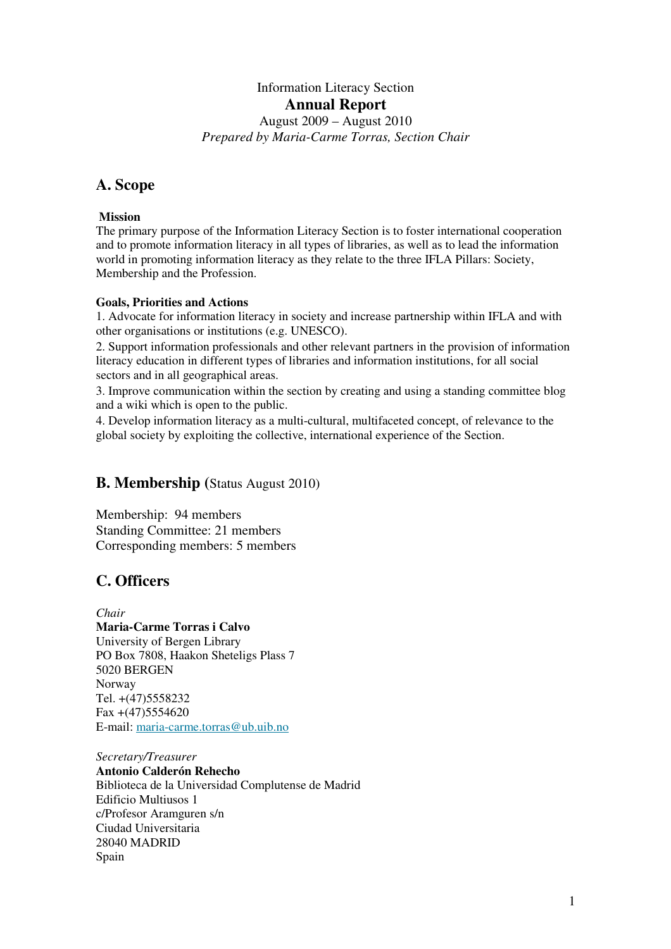# Information Literacy Section **Annual Report**

August 2009 – August 2010 *Prepared by Maria-Carme Torras, Section Chair* 

## **A. Scope**

## **Mission**

The primary purpose of the Information Literacy Section is to foster international cooperation and to promote information literacy in all types of libraries, as well as to lead the information world in promoting information literacy as they relate to the three IFLA Pillars: Society, Membership and the Profession.

### **Goals, Priorities and Actions**

1. Advocate for information literacy in society and increase partnership within IFLA and with other organisations or institutions (e.g. UNESCO).

2. Support information professionals and other relevant partners in the provision of information literacy education in different types of libraries and information institutions, for all social sectors and in all geographical areas.

3. Improve communication within the section by creating and using a standing committee blog and a wiki which is open to the public.

4. Develop information literacy as a multi-cultural, multifaceted concept, of relevance to the global society by exploiting the collective, international experience of the Section.

## **B. Membership (**Status August 2010)

Membership: 94 members Standing Committee: 21 members Corresponding members: 5 members

## **C. Officers**

*Chair* **Maria-Carme Torras i Calvo** University of Bergen Library PO Box 7808, Haakon Sheteligs Plass 7 5020 BERGEN Norway Tel. +(47)5558232 Fax +(47)5554620 E-mail: maria-carme.torras@ub.uib.no

*Secretary/Treasurer* **Antonio Calderón Rehecho** Biblioteca de la Universidad Complutense de Madrid Edificio Multiusos 1 c/Profesor Aramguren s/n Ciudad Universitaria 28040 MADRID Spain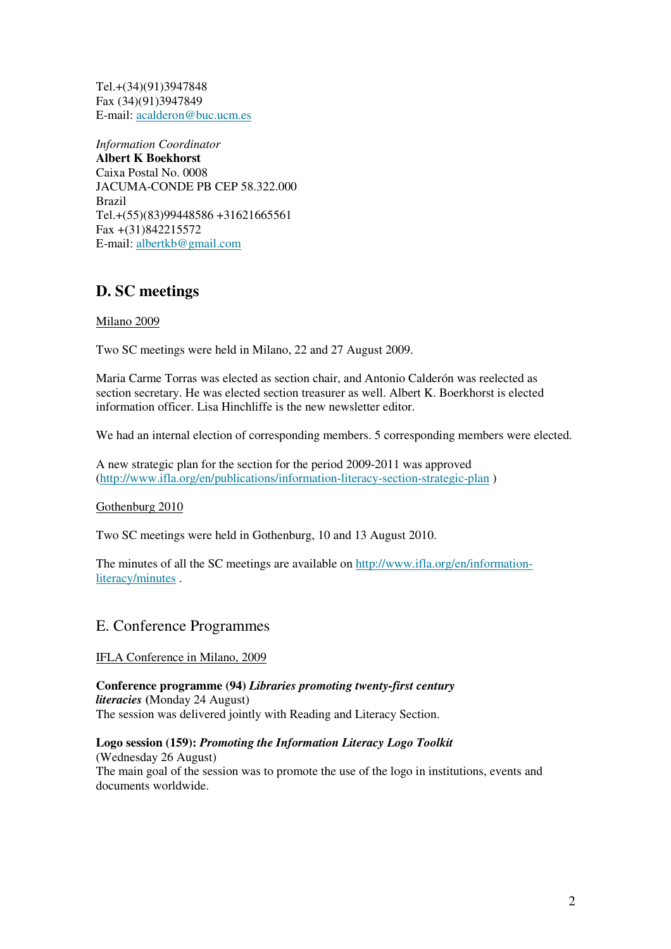Tel.+(34)(91)3947848 Fax (34)(91)3947849 E-mail: acalderon@buc.ucm.es

*Information Coordinator*  **Albert K Boekhorst** Caixa Postal No. 0008 JACUMA-CONDE PB CEP 58.322.000 Brazil Tel.+(55)(83)99448586 +31621665561 Fax +(31)842215572 E-mail: albertkb@gmail.com

## **D. SC meetings**

### Milano 2009

Two SC meetings were held in Milano, 22 and 27 August 2009.

Maria Carme Torras was elected as section chair, and Antonio Calderón was reelected as section secretary. He was elected section treasurer as well. Albert K. Boerkhorst is elected information officer. Lisa Hinchliffe is the new newsletter editor.

We had an internal election of corresponding members. 5 corresponding members were elected.

A new strategic plan for the section for the period 2009-2011 was approved (http://www.ifla.org/en/publications/information-literacy-section-strategic-plan )

Gothenburg 2010

Two SC meetings were held in Gothenburg, 10 and 13 August 2010.

The minutes of all the SC meetings are available on http://www.ifla.org/en/informationliteracy/minutes .

## E. Conference Programmes

IFLA Conference in Milano, 2009

**Conference programme (94)** *Libraries promoting twenty-first century literacies* **(**Monday 24 August) The session was delivered jointly with Reading and Literacy Section.

**Logo session (159):** *Promoting the Information Literacy Logo Toolkit*  (Wednesday 26 August) The main goal of the session was to promote the use of the logo in institutions, events and documents worldwide.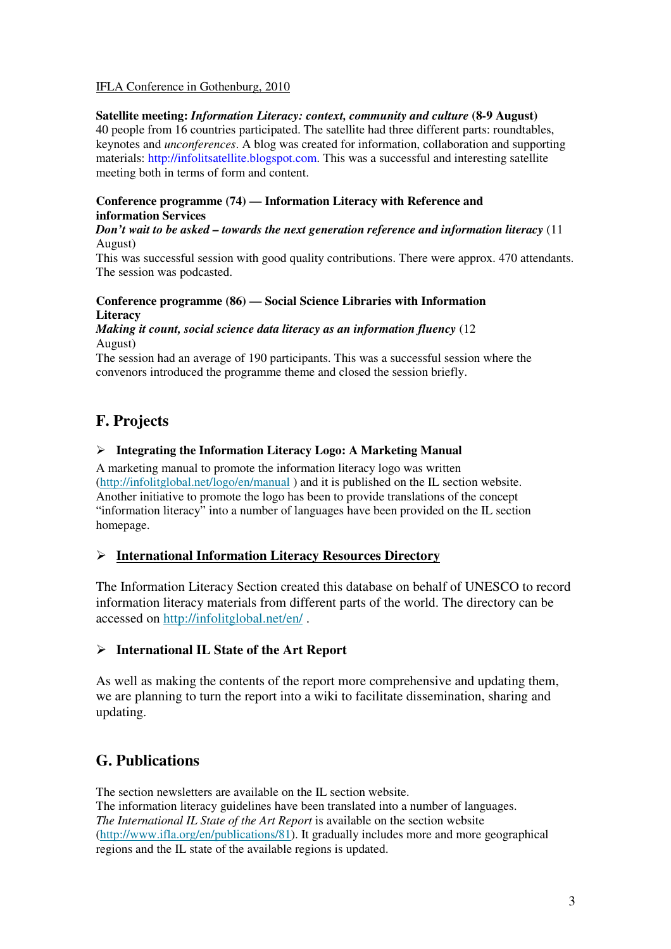### IFLA Conference in Gothenburg, 2010

#### **Satellite meeting:** *Information Literacy: context, community and culture* **(8-9 August)**  40 people from 16 countries participated. The satellite had three different parts: roundtables, keynotes and *unconferences*. A blog was created for information, collaboration and supporting materials: http://infolitsatellite.blogspot.com. This was a successful and interesting satellite meeting both in terms of form and content.

### **Conference programme (74) — Information Literacy with Reference and information Services**

#### *Don't wait to be asked – towards the next generation reference and information literacy* (11 August)

This was successful session with good quality contributions. There were approx. 470 attendants. The session was podcasted.

## **Conference programme (86) — Social Science Libraries with Information Literacy**

#### *Making it count, social science data literacy as an information fluency* (12 August)

The session had an average of 190 participants. This was a successful session where the convenors introduced the programme theme and closed the session briefly.

## **F. Projects**

### **Integrating the Information Literacy Logo: A Marketing Manual**

A marketing manual to promote the information literacy logo was written (http://infolitglobal.net/logo/en/manual ) and it is published on the IL section website. Another initiative to promote the logo has been to provide translations of the concept "information literacy" into a number of languages have been provided on the IL section homepage.

### **International Information Literacy Resources Directory**

The Information Literacy Section created this database on behalf of UNESCO to record information literacy materials from different parts of the world. The directory can be accessed on http://infolitglobal.net/en/ .

### **International IL State of the Art Report**

As well as making the contents of the report more comprehensive and updating them, we are planning to turn the report into a wiki to facilitate dissemination, sharing and updating.

## **G. Publications**

The section newsletters are available on the IL section website. The information literacy guidelines have been translated into a number of languages. *The International IL State of the Art Report* is available on the section website (http://www.ifla.org/en/publications/81). It gradually includes more and more geographical regions and the IL state of the available regions is updated.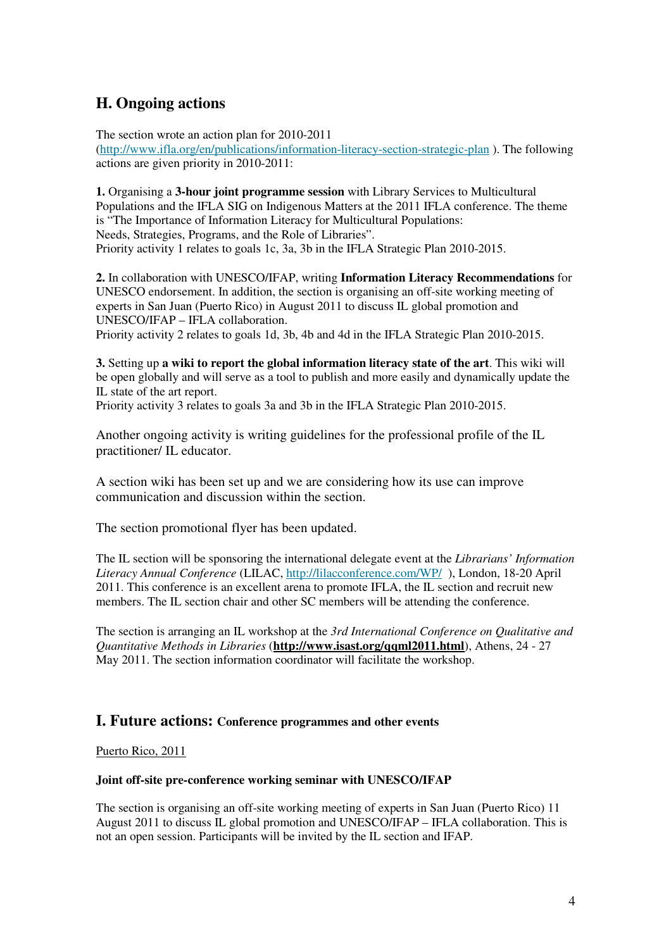## **H. Ongoing actions**

The section wrote an action plan for 2010-2011 (http://www.ifla.org/en/publications/information-literacy-section-strategic-plan ). The following actions are given priority in 2010-2011:

**1.** Organising a **3-hour joint programme session** with Library Services to Multicultural Populations and the IFLA SIG on Indigenous Matters at the 2011 IFLA conference. The theme is "The Importance of Information Literacy for Multicultural Populations: Needs, Strategies, Programs, and the Role of Libraries". Priority activity 1 relates to goals 1c, 3a, 3b in the IFLA Strategic Plan 2010-2015.

**2.** In collaboration with UNESCO/IFAP, writing **Information Literacy Recommendations** for UNESCO endorsement. In addition, the section is organising an off-site working meeting of experts in San Juan (Puerto Rico) in August 2011 to discuss IL global promotion and UNESCO/IFAP – IFLA collaboration.

Priority activity 2 relates to goals 1d, 3b, 4b and 4d in the IFLA Strategic Plan 2010-2015.

**3.** Setting up **a wiki to report the global information literacy state of the art**. This wiki will be open globally and will serve as a tool to publish and more easily and dynamically update the IL state of the art report.

Priority activity 3 relates to goals 3a and 3b in the IFLA Strategic Plan 2010-2015.

Another ongoing activity is writing guidelines for the professional profile of the IL practitioner/ IL educator.

A section wiki has been set up and we are considering how its use can improve communication and discussion within the section.

The section promotional flyer has been updated.

The IL section will be sponsoring the international delegate event at the *Librarians' Information Literacy Annual Conference* (LILAC, http://lilacconference.com/WP/ ), London, 18-20 April 2011. This conference is an excellent arena to promote IFLA, the IL section and recruit new members. The IL section chair and other SC members will be attending the conference.

The section is arranging an IL workshop at the *3rd International Conference on Qualitative and Quantitative Methods in Libraries* (**http://www.isast.org/qqml2011.html**), Athens, 24 - 27 May 2011. The section information coordinator will facilitate the workshop.

## **I. Future actions: Conference programmes and other events**

Puerto Rico, 2011

### **Joint off-site pre-conference working seminar with UNESCO/IFAP**

The section is organising an off-site working meeting of experts in San Juan (Puerto Rico) 11 August 2011 to discuss IL global promotion and UNESCO/IFAP – IFLA collaboration. This is not an open session. Participants will be invited by the IL section and IFAP.